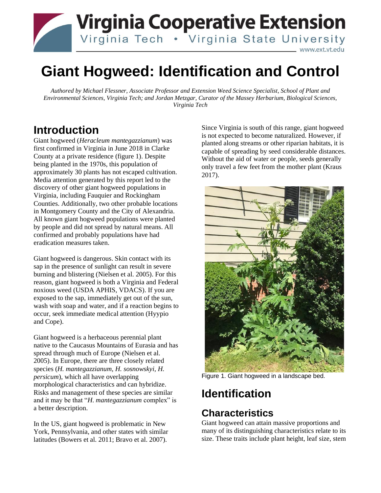

# **Giant Hogweed: Identification and Control**

*Authored by Michael Flessner, Associate Professor and Extension Weed Science Specialist, School of Plant and Environmental Sciences, Virginia Tech; and Jordan Metzgar, Curator of the Massey Herbarium, Biological Sciences, Virginia Tech*

## **Introduction**

Giant hogweed (*Heracleum mantegazzianum*) was first confirmed in Virginia in June 2018 in Clarke County at a private residence (figure 1). Despite being planted in the 1970s, this population of approximately 30 plants has not escaped cultivation. Media attention generated by this report led to the discovery of other giant hogweed populations in Virginia, including Fauquier and Rockingham Counties. Additionally, two other probable locations in Montgomery County and the City of Alexandria. All known giant hogweed populations were planted by people and did not spread by natural means. All confirmed and probably populations have had eradication measures taken.

Giant hogweed is dangerous. Skin contact with its sap in the presence of sunlight can result in severe burning and blistering (Nielsen et al. 2005). For this reason, giant hogweed is both a Virginia and Federal noxious weed (USDA APHIS, VDACS). If you are exposed to the sap, immediately get out of the sun, wash with soap and water, and if a reaction begins to occur, seek immediate medical attention (Hyypio and Cope).

Giant hogweed is a herbaceous perennial plant native to the Caucasus Mountains of Eurasia and has spread through much of Europe (Nielsen et al. 2005). In Europe, there are three closely related species (*H. mantegazzianum, H. sosnowskyi, H. persicum*), which all have overlapping morphological characteristics and can hybridize. Risks and management of these species are similar and it may be that "*H. mantegazzianum* complex" is a better description.

In the US, giant hogweed is problematic in New York, Pennsylvania, and other states with similar latitudes (Bowers et al. 2011; Bravo et al. 2007).

Since Virginia is south of this range, giant hogweed is not expected to become naturalized. However, if planted along streams or other riparian habitats, it is capable of spreading by seed considerable distances. Without the aid of water or people, seeds generally only travel a few feet from the mother plant (Kraus 2017).



Figure 1. Giant hogweed in a landscape bed.

# **Identification**

#### **Characteristics**

Giant hogweed can attain massive proportions and many of its distinguishing characteristics relate to its size. These traits include plant height, leaf size, stem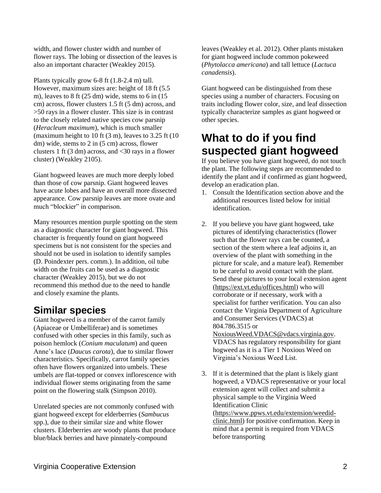width, and flower cluster width and number of flower rays. The lobing or dissection of the leaves is also an important character (Weakley 2015).

Plants typically grow 6-8 ft (1.8-2.4 m) tall. However, maximum sizes are: height of 18 ft (5.5 m), leaves to  $8 \text{ ft}$  (25 dm) wide, stems to  $6 \text{ in } (15$ cm) across, flower clusters 1.5 ft (5 dm) across, and >50 rays in a flower cluster. This size is in contrast to the closely related native species cow parsnip (*Heracleum maximum*), which is much smaller (maximum height to 10 ft  $(3 \text{ m})$ , leaves to 3.25 ft  $(10 \text{ m})$ dm) wide, stems to 2 in (5 cm) across, flower clusters 1 ft  $(3 \text{ dm})$  across, and  $\langle 30 \text{ rays in a flower} \rangle$ cluster) (Weakley 2105).

Giant hogweed leaves are much more deeply lobed than those of cow parsnip. Giant hogweed leaves have acute lobes and have an overall more dissected appearance. Cow parsnip leaves are more ovate and much "blockier" in comparison.

Many resources mention purple spotting on the stem as a diagnostic character for giant hogweed. This character is frequently found on giant hogweed specimens but is not consistent for the species and should not be used in isolation to identify samples (D. Poindexter pers. comm.). In addition, oil tube width on the fruits can be used as a diagnostic character (Weakley 2015), but we do not recommend this method due to the need to handle and closely examine the plants.

#### **Similar species**

Giant hogweed is a member of the carrot family (Apiaceae or Umbelliferae) and is sometimes confused with other species in this family, such as poison hemlock (*Conium maculatum*) and queen Anne's lace (*Daucus carota*), due to similar flower characteristics. Specifically, carrot family species often have flowers organized into umbels. These umbels are flat-topped or convex inflorescence with individual flower stems originating from the same point on the flowering stalk (Simpson 2010).

Unrelated species are not commonly confused with giant hogweed except for elderberries (*Sambucus* spp.), due to their similar size and white flower clusters. Elderberries are woody plants that produce blue/black berries and have pinnately-compound

leaves (Weakley et al. 2012). Other plants mistaken for giant hogweed include common pokeweed (*Phytolacca americana*) and tall lettuce (*Lactuca canadensis*).

Giant hogweed can be distinguished from these species using a number of characters. Focusing on traits including flower color, size, and leaf dissection typically characterize samples as giant hogweed or other species.

## **What to do if you find suspected giant hogweed**

If you believe you have giant hogweed, do not touch the plant. The following steps are recommended to identify the plant and if confirmed as giant hogweed, develop an eradication plan.

- 1. Consult the Identification section above and the additional resources listed below for initial identification.
- 2. If you believe you have giant hogweed, take pictures of identifying characteristics (flower such that the flower rays can be counted, a section of the stem where a leaf adjoins it, an overview of the plant with something in the picture for scale, and a mature leaf). Remember to be careful to avoid contact with the plant. Send these pictures to your local extension agent [\(https://ext.vt.edu/offices.html\)](https://ext.vt.edu/offices.html) who will corroborate or if necessary, work with a specialist for further verification. You can also contact the Virginia Department of Agriculture and Consumer Services (VDACS) at 804.786.3515 or [NoxiousWeed.VDACS@vdacs.virginia.gov.](mailto:NoxiousWeed.VDACS@vdacs.virginia.gov) VDACS has regulatory responsibility for giant

hogweed as it is a Tier 1 Noxious Weed on Virginia's Noxious Weed List.

3. If it is determined that the plant is likely giant hogweed, a VDACS representative or your local extension agent will collect and submit a physical sample to the Virginia Weed Identification Clinic [\(https://www.ppws.vt.edu/extension/weedid](https://www.ppws.vt.edu/extension/weedid-clinic.html)[clinic.html\)](https://www.ppws.vt.edu/extension/weedid-clinic.html) for positive confirmation. Keep in mind that a permit is required from VDACS before transporting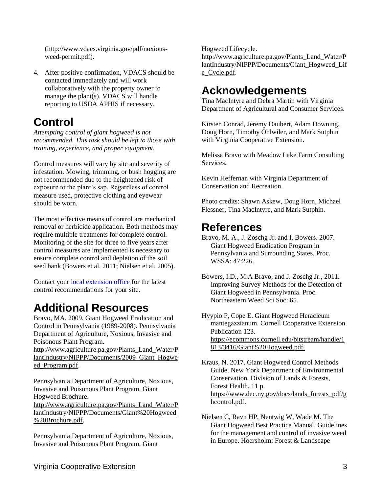[\(http://www.vdacs.virginia.gov/pdf/noxious](http://www.vdacs.virginia.gov/pdf/noxious-weed-permit.pdf)[weed-permit.pdf\)](http://www.vdacs.virginia.gov/pdf/noxious-weed-permit.pdf).

4. After positive confirmation, VDACS should be contacted immediately and will work collaboratively with the property owner to manage the plant(s). VDACS will handle reporting to USDA APHIS if necessary.

# **Control**

*Attempting control of giant hogweed is not recommended. This task should be left to those with training, experience, and proper equipment.* 

Control measures will vary by site and severity of infestation. Mowing, trimming, or bush hogging are not recommended due to the heightened risk of exposure to the plant's sap. Regardless of control measure used, protective clothing and eyewear should be worn.

The most effective means of control are mechanical removal or herbicide application. Both methods may require multiple treatments for complete control. Monitoring of the site for three to five years after control measures are implemented is necessary to ensure complete control and depletion of the soil seed bank (Bowers et al. 2011; Nielsen et al. 2005).

Contact your [local extension office](https://ext.vt.edu/offices.html) for the latest control recommendations for your site.

# **Additional Resources**

Bravo, MA. 2009. Giant Hogweed Eradication and Control in Pennsylvania (1989-2008). Pennsylvania Department of Agriculture, Noxious, Invasive and Poisonous Plant Program.

[http://www.agriculture.pa.gov/Plants\\_Land\\_Water/P](http://www.agriculture.pa.gov/Plants_Land_Water/PlantIndustry/NIPPP/Documents/2009_Giant_Hogweed_Program.pdf) [lantIndustry/NIPPP/Documents/2009\\_Giant\\_Hogwe](http://www.agriculture.pa.gov/Plants_Land_Water/PlantIndustry/NIPPP/Documents/2009_Giant_Hogweed_Program.pdf) [ed\\_Program.pdf.](http://www.agriculture.pa.gov/Plants_Land_Water/PlantIndustry/NIPPP/Documents/2009_Giant_Hogweed_Program.pdf)

Pennsylvania Department of Agriculture, Noxious, Invasive and Poisonous Plant Program. Giant Hogweed Brochure.

[http://www.agriculture.pa.gov/Plants\\_Land\\_Water/P](http://www.agriculture.pa.gov/Plants_Land_Water/PlantIndustry/NIPPP/Documents/Giant%20Hogweed%20Brochure.pdf) [lantIndustry/NIPPP/Documents/Giant%20Hogweed](http://www.agriculture.pa.gov/Plants_Land_Water/PlantIndustry/NIPPP/Documents/Giant%20Hogweed%20Brochure.pdf) [%20Brochure.pdf.](http://www.agriculture.pa.gov/Plants_Land_Water/PlantIndustry/NIPPP/Documents/Giant%20Hogweed%20Brochure.pdf)

Pennsylvania Department of Agriculture, Noxious, Invasive and Poisonous Plant Program. Giant

Hogweed Lifecycle.

[http://www.agriculture.pa.gov/Plants\\_Land\\_Water/P](http://www.agriculture.pa.gov/Plants_Land_Water/PlantIndustry/NIPPP/Documents/Giant_Hogweed_Life_Cycle.pdf) [lantIndustry/NIPPP/Documents/Giant\\_Hogweed\\_Lif](http://www.agriculture.pa.gov/Plants_Land_Water/PlantIndustry/NIPPP/Documents/Giant_Hogweed_Life_Cycle.pdf) [e\\_Cycle.pdf.](http://www.agriculture.pa.gov/Plants_Land_Water/PlantIndustry/NIPPP/Documents/Giant_Hogweed_Life_Cycle.pdf)

# **Acknowledgements**

Tina MacIntyre and Debra Martin with Virginia Department of Agricultural and Consumer Services.

Kirsten Conrad, Jeremy Daubert, Adam Downing, Doug Horn, Timothy Ohlwiler, and Mark Sutphin with Virginia Cooperative Extension.

Melissa Bravo with Meadow Lake Farm Consulting Services.

Kevin Heffernan with Virginia Department of Conservation and Recreation.

Photo credits: Shawn Askew, Doug Horn, Michael Flessner, Tina MacIntyre, and Mark Sutphin.

### **References**

Bravo, M. A., J. Zoschg Jr. and I. Bowers. 2007. Giant Hogweed Eradication Program in Pennsylvania and Surrounding States. Proc. WSSA: 47:226.

Hyypio P, Cope E. Giant Hogweed Heracleum mantegazzianum. Cornell Cooperative Extension Publication 123. [https://ecommons.cornell.edu/bitstream/handle/1](https://ecommons.cornell.edu/bitstream/handle/1813/3416/Giant%20Hogweed.pdf) [813/3416/Giant%20Hogweed.pdf.](https://ecommons.cornell.edu/bitstream/handle/1813/3416/Giant%20Hogweed.pdf)

Kraus, N. 2017. Giant Hogweed Control Methods Guide. New York Department of Environmental Conservation, Division of Lands & Forests, Forest Health. 11 p. [https://www.dec.ny.gov/docs/lands\\_forests\\_pdf/g](https://www.dec.ny.gov/docs/lands_forests_pdf/ghcontrol.pdf) [hcontrol.pdf.](https://www.dec.ny.gov/docs/lands_forests_pdf/ghcontrol.pdf)

Nielsen C, Ravn HP, Nentwig W, Wade M. The Giant Hogweed Best Practice Manual, Guidelines for the management and control of invasive weed in Europe. Hoersholm: Forest & Landscape

Bowers, I.D., M.A Bravo, and J. Zoschg Jr., 2011. Improving Survey Methods for the Detection of Giant Hogweed in Pennsylvania. Proc. Northeastern Weed Sci Soc: 65.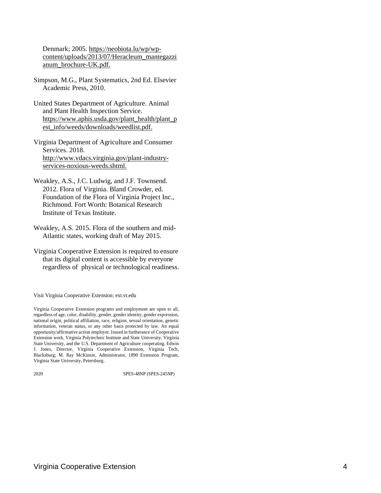Denmark; 2005[. https://neobiota.lu/wp/wp](https://neobiota.lu/wp/wp-content/uploads/2013/07/Heracleum_mantegazzianum_brochure-UK.pdf)[content/uploads/2013/07/Heracleum\\_mantegazzi](https://neobiota.lu/wp/wp-content/uploads/2013/07/Heracleum_mantegazzianum_brochure-UK.pdf) [anum\\_brochure-UK.pdf.](https://neobiota.lu/wp/wp-content/uploads/2013/07/Heracleum_mantegazzianum_brochure-UK.pdf)

- Simpson, M.G., Plant Systematics, 2nd Ed. Elsevier Academic Press, 2010.
- United States Department of Agriculture. Animal and Plant Health Inspection Service. [https://www.aphis.usda.gov/plant\\_health/plant\\_p](https://www.aphis.usda.gov/plant_health/plant_pest_info/weeds/downloads/weedlist.pdf) [est\\_info/weeds/downloads/weedlist.pdf.](https://www.aphis.usda.gov/plant_health/plant_pest_info/weeds/downloads/weedlist.pdf)
- Virginia Department of Agriculture and Consumer Services. 2018. [http://www.vdacs.virginia.gov/plant-industry](http://www.vdacs.virginia.gov/plant-industry-services-noxious-weeds.shtml)[services-noxious-weeds.shtml.](http://www.vdacs.virginia.gov/plant-industry-services-noxious-weeds.shtml)
- Weakley, A.S., J.C. Ludwig, and J.F. Townsend. 2012. Flora of Virginia. Bland Crowder, ed. Foundation of the Flora of Virginia Project Inc., Richmond. Fort Worth: Botanical Research Institute of Texas Institute.
- Weakley, A.S. 2015. Flora of the southern and mid-Atlantic states, working draft of May 2015.
- Virginia Cooperative Extension is required to ensure that its digital content is accessible by everyone regardless of physical or technological readiness.

Visit Virginia Cooperative Extension: ext.vt.edu

2020 SPES-48NP (SPES-245NP)

Virginia Cooperative Extension programs and employment are open to all, regardless of age, color, disability, gender, gender identity, gender expression, national origin, political affiliation, race, religion, sexual orientation, genetic information, veteran status, or any other basis protected by law. An equal opportunity/affirmative action employer. Issued in furtherance of Cooperative Extension work, Virginia Polytechnic Institute and State University, Virginia State University, and the U.S. Department of Agriculture cooperating. Edwin J. Jones, Director, Virginia Cooperative Extension, Virginia Tech, Blacksburg; M. Ray McKinnie, Administrator, 1890 Extension Program, Virginia State University, Petersburg.